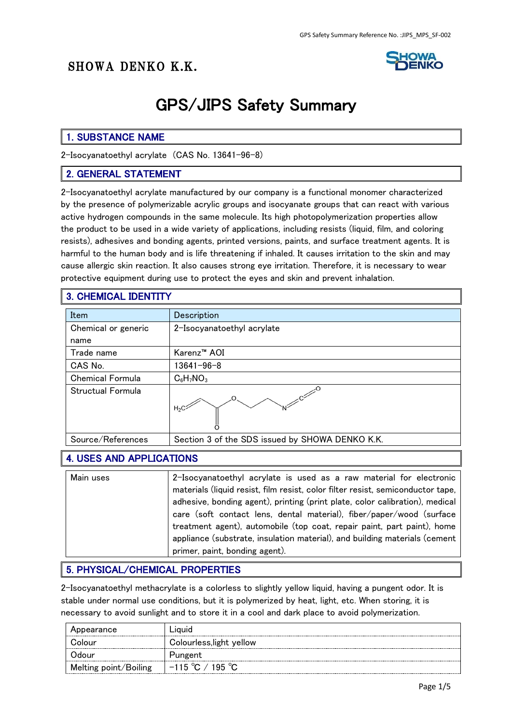## SHOWA DENKO K.K.



# GPS/JIPS Safety Summary

### 1. SUBSTANCE NAME

2-Isocyanatoethyl acrylate (CAS No. 13641-96-8)

#### 2. GENERAL STATEMENT

2-Isocyanatoethyl acrylate manufactured by our company is a functional monomer characterized by the presence of polymerizable acrylic groups and isocyanate groups that can react with various active hydrogen compounds in the same molecule. Its high photopolymerization properties allow the product to be used in a wide variety of applications, including resists (liquid, film, and coloring resists), adhesives and bonding agents, printed versions, paints, and surface treatment agents. It is harmful to the human body and is life threatening if inhaled. It causes irritation to the skin and may cause allergic skin reaction. It also causes strong eye irritation. Therefore, it is necessary to wear protective equipment during use to protect the eyes and skin and prevent inhalation.

#### 3. CHEMICAL IDENTITY

| Item                    | Description                                     |
|-------------------------|-------------------------------------------------|
| Chemical or generic     | 2-Isocyanatoethyl acrylate                      |
| name                    |                                                 |
| Trade name              | Karenz <sup>™</sup> AOI                         |
| CAS No.                 | $13641 - 96 - 8$                                |
| <b>Chemical Formula</b> | $C_6H_7NO_3$                                    |
| Structual Formula       |                                                 |
| Source/References       | Section 3 of the SDS issued by SHOWA DENKO K.K. |

### 4. USES AND APPLICATIONS

| Main uses | 2-Isocyanatoethyl acrylate is used as a raw material for electronic<br>materials (liquid resist, film resist, color filter resist, semiconductor tape,<br>adhesive, bonding agent), printing (print plate, color calibration), medical<br>care (soft contact lens, dental material), fiber/paper/wood (surface<br>treatment agent), automobile (top coat, repair paint, part paint), home<br>appliance (substrate, insulation material), and building materials (cement |
|-----------|-------------------------------------------------------------------------------------------------------------------------------------------------------------------------------------------------------------------------------------------------------------------------------------------------------------------------------------------------------------------------------------------------------------------------------------------------------------------------|
|           | primer, paint, bonding agent).                                                                                                                                                                                                                                                                                                                                                                                                                                          |

#### 5. PHYSICAL/CHEMICAL PROPERTIES

2-Isocyanatoethyl methacrylate is a colorless to slightly yellow liquid, having a pungent odor. It is stable under normal use conditions, but it is polymerized by heat, light, etc. When storing, it is necessary to avoid sunlight and to store it in a cool and dark place to avoid polymerization.

| Appearance            | ∟ıauıd                           |  |  |
|-----------------------|----------------------------------|--|--|
| Colour                | Colourless, light yellow         |  |  |
| Odour                 | Pungent                          |  |  |
| Melting point/Boiling | $-115 \degree C / 195 \degree C$ |  |  |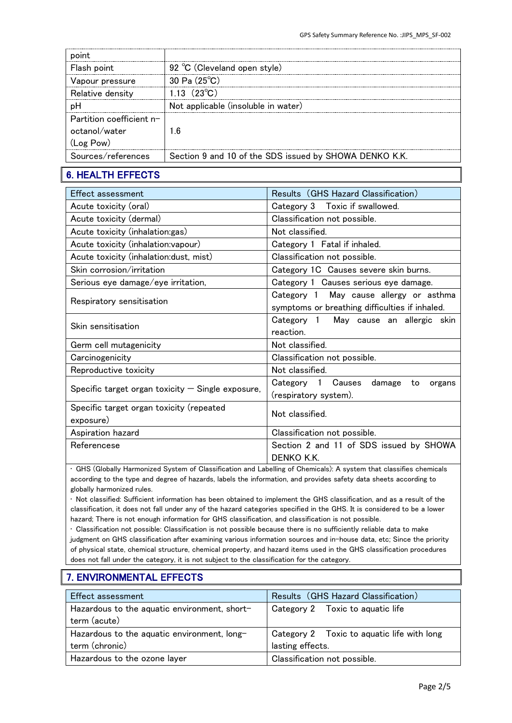| Flash point                | 92 °C (Cleveland open style)                           |
|----------------------------|--------------------------------------------------------|
| Vapour pressure            | 30 Pa $(25^{\circ}C)$                                  |
| Relative density           | 1.13 $(23^{\circ}C)$                                   |
|                            | Not applicable (insoluble in water)                    |
| Partition coefficient $n-$ |                                                        |
| octanol/water              | ∣6                                                     |
| (Log Pow)                  |                                                        |
| Sources/references         | Section 9 and 10 of the SDS issued by SHOWA DENKO K.K. |

## 6. HEALTH EFFECTS

| Effect assessment                                   | Results (GHS Hazard Classification)            |
|-----------------------------------------------------|------------------------------------------------|
| Acute toxicity (oral)                               | Category 3 Toxic if swallowed.                 |
| Acute toxicity (dermal)                             | Classification not possible.                   |
| Acute toxicity (inhalation:gas)                     | Not classified.                                |
| Acute toxicity (inhalation: vapour)                 | Category 1 Fatal if inhaled.                   |
| Acute toxicity (inhalation: dust, mist)             | Classification not possible.                   |
| Skin corrosion/irritation                           | Category 1C Causes severe skin burns.          |
| Serious eye damage/eye irritation,                  | Category 1 Causes serious eye damage.          |
|                                                     | Category 1 May cause allergy or asthma         |
| Respiratory sensitisation                           | symptoms or breathing difficulties if inhaled. |
| Skin sensitisation                                  | Category 1 May cause an allergic skin          |
|                                                     | reaction.                                      |
| Germ cell mutagenicity                              | Not classified.                                |
| Carcinogenicity                                     | Classification not possible.                   |
| Reproductive toxicity                               | Not classified.                                |
|                                                     | Category 1 Causes<br>damage<br>to<br>organs    |
| Specific target organ toxicity $-$ Single exposure, | (respiratory system).                          |
| Specific target organ toxicity (repeated            | Not classified.                                |
| exposure)                                           |                                                |
| Aspiration hazard                                   | Classification not possible.                   |
| Referencese                                         | Section 2 and 11 of SDS issued by SHOWA        |
|                                                     | DENKO K.K.                                     |

• GHS (Globally Harmonized System of Classification and Labelling of Chemicals): A system that classifies chemicals according to the type and degree of hazards, labels the information, and provides safety data sheets according to globally harmonized rules.

• Not classified: Sufficient information has been obtained to implement the GHS classification, and as a result of the classification, it does not fall under any of the hazard categories specified in the GHS. It is considered to be a lower hazard; There is not enough information for GHS classification, and classification is not possible.

• Classification not possible: Classification is not possible because there is no sufficiently reliable data to make judgment on GHS classification after examining various information sources and in-house data, etc; Since the priority of physical state, chemical structure, chemical property, and hazard items used in the GHS classification procedures does not fall under the category, it is not subject to the classification for the category.

## 7. ENVIRONMENTAL EFFECTS

| Effect assessment                            | Results (GHS Hazard Classification)        |
|----------------------------------------------|--------------------------------------------|
| Hazardous to the aquatic environment, short- | Category 2 Toxic to aquatic life           |
| term (acute)                                 |                                            |
| Hazardous to the aquatic environment, long-  | Category 2 Toxic to aquatic life with long |
| term (chronic)                               | lasting effects.                           |
| Hazardous to the ozone layer                 | Classification not possible.               |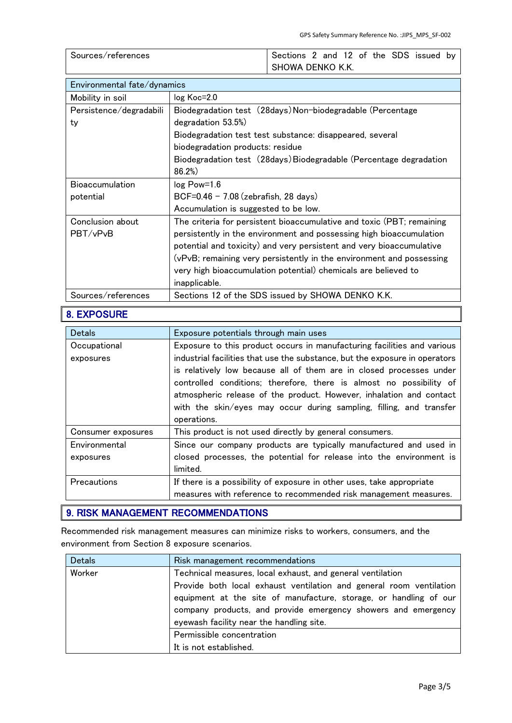| Sources/references | Sections 2 and 12 of the SDS issued by |
|--------------------|----------------------------------------|
|                    | SHOWA DENKO K.K.                       |

| Environmental fate/dynamics |                                                                       |  |  |
|-----------------------------|-----------------------------------------------------------------------|--|--|
| Mobility in soil            | log Koc=2.0                                                           |  |  |
| Persistence/degradabili     | Biodegradation test (28days) Non-biodegradable (Percentage            |  |  |
| ty                          | degradation 53.5%)                                                    |  |  |
|                             | Biodegradation test test substance: disappeared, several              |  |  |
|                             | biodegradation products: residue                                      |  |  |
|                             | Biodegradation test (28days) Biodegradable (Percentage degradation    |  |  |
|                             | 86.2%)                                                                |  |  |
| <b>Bioaccumulation</b>      | $log Pow = 1.6$                                                       |  |  |
| potential                   | $BCF=0.46 - 7.08$ (zebrafish, 28 days)                                |  |  |
|                             | Accumulation is suggested to be low.                                  |  |  |
| Conclusion about            | The criteria for persistent bioaccumulative and toxic (PBT; remaining |  |  |
| PBT/vPvB                    | persistently in the environment and possessing high bioaccumulation   |  |  |
|                             | potential and toxicity) and very persistent and very bioaccumulative  |  |  |
|                             | (vPvB; remaining very persistently in the environment and possessing  |  |  |
|                             | very high bioaccumulation potential) chemicals are believed to        |  |  |
|                             | inapplicable.                                                         |  |  |
| Sources/references          | Sections 12 of the SDS issued by SHOWA DENKO K.K.                     |  |  |

## 8. EXPOSURE

| Detals             | Exposure potentials through main uses                                                                                                                                                                                                                                                                                                                                                  |  |  |
|--------------------|----------------------------------------------------------------------------------------------------------------------------------------------------------------------------------------------------------------------------------------------------------------------------------------------------------------------------------------------------------------------------------------|--|--|
| Occupational       | Exposure to this product occurs in manufacturing facilities and various                                                                                                                                                                                                                                                                                                                |  |  |
| exposures          | industrial facilities that use the substance, but the exposure in operators<br>is relatively low because all of them are in closed processes under<br>controlled conditions; therefore, there is almost no possibility of<br>atmospheric release of the product. However, inhalation and contact<br>with the skin/eyes may occur during sampling, filling, and transfer<br>operations. |  |  |
| Consumer exposures | This product is not used directly by general consumers.                                                                                                                                                                                                                                                                                                                                |  |  |
| Environmental      | Since our company products are typically manufactured and used in                                                                                                                                                                                                                                                                                                                      |  |  |
| exposures          | closed processes, the potential for release into the environment is<br>limited.                                                                                                                                                                                                                                                                                                        |  |  |
| Precautions        | If there is a possibility of exposure in other uses, take appropriate<br>measures with reference to recommended risk management measures.                                                                                                                                                                                                                                              |  |  |

## 9. RISK MANAGEMENT RECOMMENDATIONS

Recommended risk management measures can minimize risks to workers, consumers, and the environment from Section 8 exposure scenarios.

| <b>Detals</b> | Risk management recommendations                                     |  |
|---------------|---------------------------------------------------------------------|--|
| Worker        | Technical measures, local exhaust, and general ventilation          |  |
|               | Provide both local exhaust ventilation and general room ventilation |  |
|               | equipment at the site of manufacture, storage, or handling of our   |  |
|               | company products, and provide emergency showers and emergency       |  |
|               | eyewash facility near the handling site.                            |  |
|               | Permissible concentration                                           |  |
|               | It is not established.                                              |  |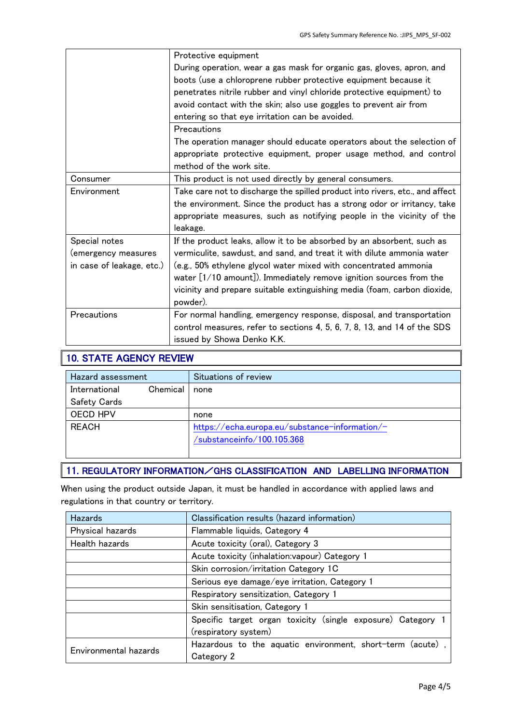|                           | Protective equipment                                                         |  |  |
|---------------------------|------------------------------------------------------------------------------|--|--|
|                           | During operation, wear a gas mask for organic gas, gloves, apron, and        |  |  |
|                           | boots (use a chloroprene rubber protective equipment because it              |  |  |
|                           | penetrates nitrile rubber and vinyl chloride protective equipment) to        |  |  |
|                           | avoid contact with the skin; also use goggles to prevent air from            |  |  |
|                           | entering so that eye irritation can be avoided.                              |  |  |
|                           | Precautions                                                                  |  |  |
|                           | The operation manager should educate operators about the selection of        |  |  |
|                           | appropriate protective equipment, proper usage method, and control           |  |  |
|                           | method of the work site.                                                     |  |  |
| Consumer                  | This product is not used directly by general consumers.                      |  |  |
| Environment               | Take care not to discharge the spilled product into rivers, etc., and affect |  |  |
|                           | the environment. Since the product has a strong odor or irritancy, take      |  |  |
|                           | appropriate measures, such as notifying people in the vicinity of the        |  |  |
|                           | leakage.                                                                     |  |  |
| Special notes             | If the product leaks, allow it to be absorbed by an absorbent, such as       |  |  |
| (emergency measures       | vermiculite, sawdust, and sand, and treat it with dilute ammonia water       |  |  |
| in case of leakage, etc.) | (e.g., 50% ethylene glycol water mixed with concentrated ammonia             |  |  |
|                           | water $[1/10$ amount]). Immediately remove ignition sources from the         |  |  |
|                           | vicinity and prepare suitable extinguishing media (foam, carbon dioxide,     |  |  |
|                           | powder).                                                                     |  |  |
| Precautions               | For normal handling, emergency response, disposal, and transportation        |  |  |
|                           | control measures, refer to sections 4, 5, 6, 7, 8, 13, and 14 of the SDS     |  |  |
|                           | issued by Showa Denko K.K.                                                   |  |  |

## 10. STATE AGENCY REVIEW

| Hazard assessment   |            | Situations of review                                                         |
|---------------------|------------|------------------------------------------------------------------------------|
| International       | Chemical I | none                                                                         |
| <b>Safety Cards</b> |            |                                                                              |
| <b>OECD HPV</b>     |            | none                                                                         |
| <b>REACH</b>        |            | https://echa.europa.eu/substance-information/-<br>/substanceinfo/100.105.368 |

## 11. REGULATORY INFORMATION/GHS CLASSIFICATION AND LABELLING INFORMATION

When using the product outside Japan, it must be handled in accordance with applied laws and regulations in that country or territory.

| <b>Hazards</b>        | Classification results (hazard information)               |  |  |  |  |
|-----------------------|-----------------------------------------------------------|--|--|--|--|
| Physical hazards      | Flammable liquids, Category 4                             |  |  |  |  |
| Health hazards        | Acute toxicity (oral), Category 3                         |  |  |  |  |
|                       | Acute toxicity (inhalation:vapour) Category 1             |  |  |  |  |
|                       | Skin corrosion/irritation Category 1C                     |  |  |  |  |
|                       | Serious eye damage/eye irritation, Category 1             |  |  |  |  |
|                       | Respiratory sensitization, Category 1                     |  |  |  |  |
|                       | Skin sensitisation, Category 1                            |  |  |  |  |
|                       | Specific target organ toxicity (single exposure) Category |  |  |  |  |
|                       | (respiratory system)                                      |  |  |  |  |
| Environmental hazards | Hazardous to the aquatic environment, short-term (acute)  |  |  |  |  |
|                       | Category 2                                                |  |  |  |  |